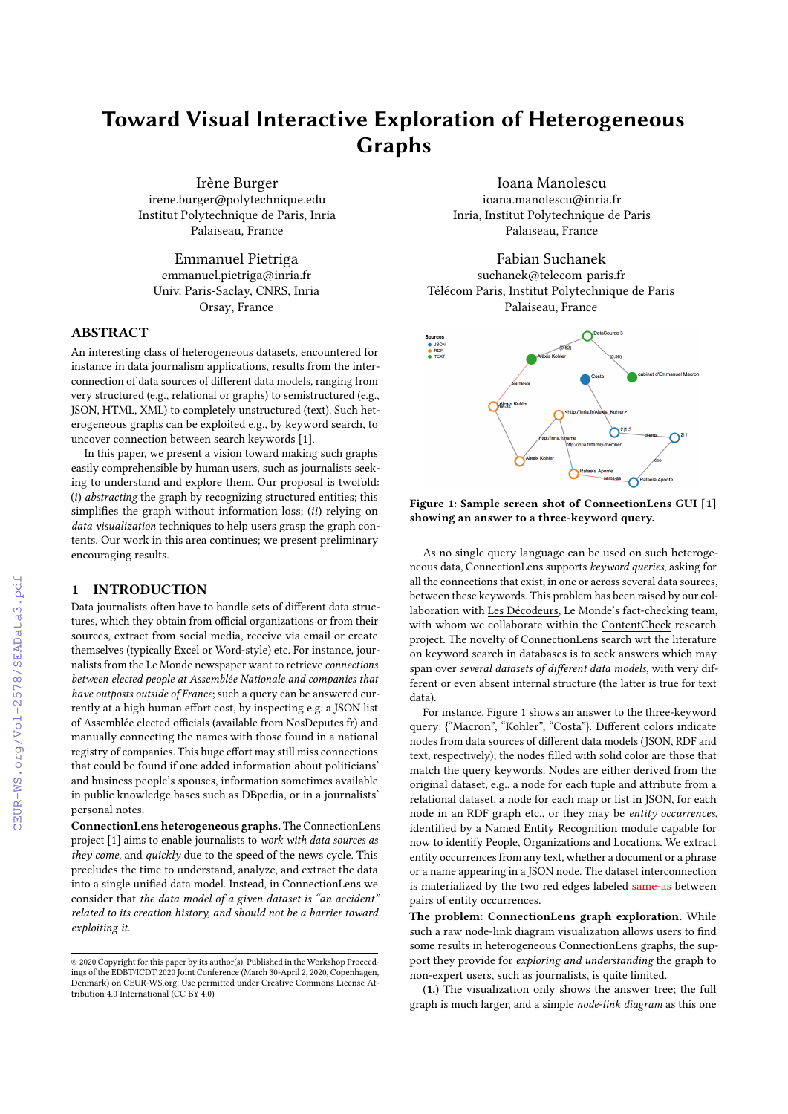# Toward Visual Interactive Exploration of Heterogeneous Graphs

Irène Burger irene.burger@polytechnique.edu Institut Polytechnique de Paris, Inria Palaiseau, France

Emmanuel Pietriga emmanuel.pietriga@inria.fr Univ. Paris-Saclay, CNRS, Inria Orsay, France

# ABSTRACT

An interesting class of heterogeneous datasets, encountered for instance in data journalism applications, results from the interconnection of data sources of different data models, ranging from very structured (e.g., relational or graphs) to semistructured (e.g., JSON, HTML, XML) to completely unstructured (text). Such heterogeneous graphs can be exploited e.g., by keyword search, to uncover connection between search keywords [\[1\]](#page--1-0).

In this paper, we present a vision toward making such graphs easily comprehensible by human users, such as journalists seeking to understand and explore them. Our proposal is twofold: (i) abstracting the graph by recognizing structured entities; this simplifies the graph without information loss; (ii) relying on data visualization techniques to help users grasp the graph contents. Our work in this area continues; we present preliminary encouraging results.

## 1 INTRODUCTION

Data journalists often have to handle sets of different data structures, which they obtain from official organizations or from their sources, extract from social media, receive via email or create themselves (typically Excel or Word-style) etc. For instance, journalists from the Le Monde newspaper want to retrieve connections between elected people at Assemblée Nationale and companies that have outposts outside of France; such a query can be answered currently at a high human effort cost, by inspecting e.g. a JSON list of Assemblée elected officials (available from [NosDeputes.fr\)](https://nosdeputes.fr) and manually connecting the names with those found in a national registry of companies. This huge effort may still miss connections that could be found if one added information about politicians' and business people's spouses, information sometimes available in public knowledge bases such as DBpedia, or in a journalists' personal notes.

ConnectionLens heterogeneous graphs. The ConnectionLens project [\[1\]](#page--1-0) aims to enable journalists to work with data sources as they come, and quickly due to the speed of the news cycle. This precludes the time to understand, analyze, and extract the data into a single unified data model. Instead, in ConnectionLens we consider that the data model of a given dataset is "an accident" related to its creation history, and should not be a barrier toward exploiting it.

Ioana Manolescu ioana.manolescu@inria.fr Inria, Institut Polytechnique de Paris Palaiseau, France

Fabian Suchanek suchanek@telecom-paris.fr Télécom Paris, Institut Polytechnique de Paris Palaiseau, France

<span id="page-0-0"></span>

Figure 1: Sample screen shot of ConnectionLens GUI [\[1\]](#page--1-0) showing an answer to a three-keyword query.

As no single query language can be used on such heterogeneous data, ConnectionLens supports keyword queries, asking for all the connections that exist, in one or across several data sources, between these keywords. This problem has been raised by our collaboration with [Les Décodeurs,](http://www.lemonde.fr/les-decodeurs/) Le Monde's fact-checking team, with whom we collaborate within the [ContentCheck](https://team.inria.fr/cedar/contentcheck/) research project. The novelty of ConnectionLens search wrt the literature on keyword search in databases is to seek answers which may span over several datasets of different data models, with very different or even absent internal structure (the latter is true for text data).

For instance, Figure [1](#page-0-0) shows an answer to the three-keyword query: {"Macron", "Kohler", "Costa"}. Different colors indicate nodes from data sources of different data models (JSON, RDF and text, respectively); the nodes filled with solid color are those that match the query keywords. Nodes are either derived from the original dataset, e.g., a node for each tuple and attribute from a relational dataset, a node for each map or list in JSON, for each node in an RDF graph etc., or they may be entity occurrences, identified by a Named Entity Recognition module capable for now to identify People, Organizations and Locations. We extract entity occurrences from any text, whether a document or a phrase or a name appearing in a JSON node. The dataset interconnection is materialized by the two red edges labeled same-as between pairs of entity occurrences.

The problem: ConnectionLens graph exploration. While such a raw node-link diagram visualization allows users to find some results in heterogeneous ConnectionLens graphs, the support they provide for exploring and understanding the graph to non-expert users, such as journalists, is quite limited.

(1.) The visualization only shows the answer tree; the full graph is much larger, and a simple node-link diagram as this one

<sup>©</sup> 2020 Copyright for this paper by its author(s). Published in the Workshop Proceedings of the EDBT/ICDT 2020 Joint Conference (March 30-April 2, 2020, Copenhagen, Denmark) on CEUR-WS.org. Use permitted under Creative Commons License Attribution 4.0 International (CC BY 4.0)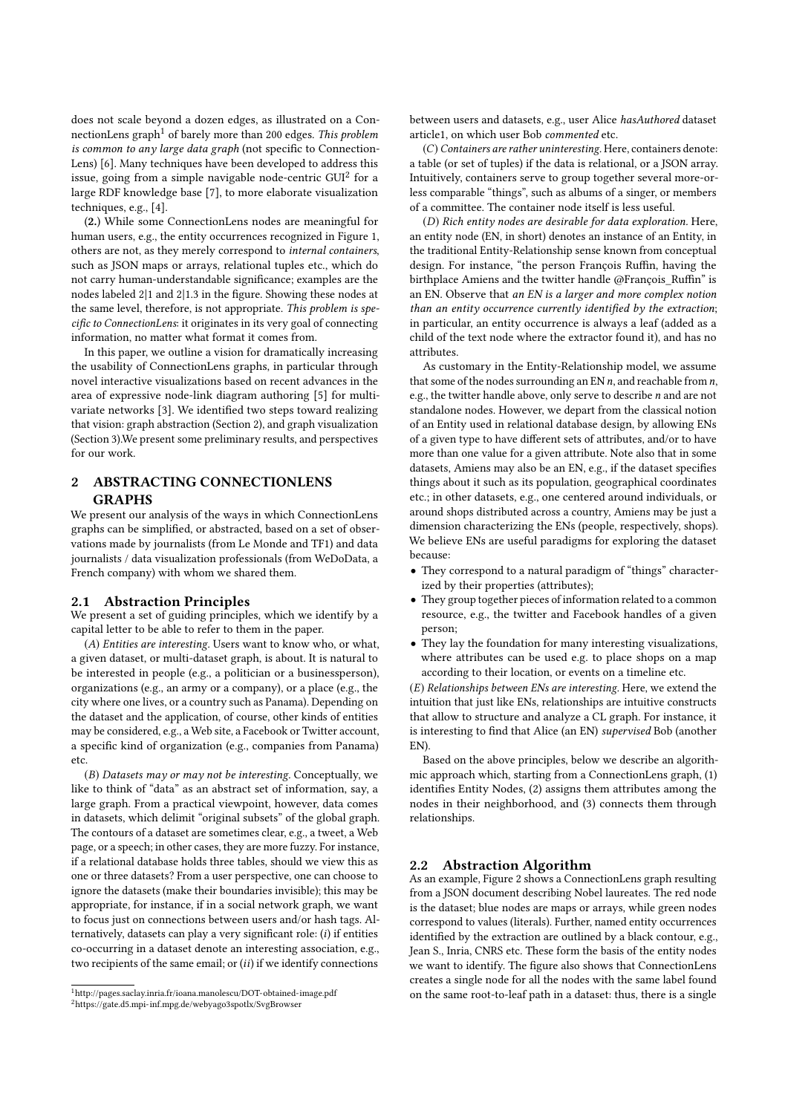does not scale beyond a dozen edges, as illustrated on a Con-nectionLens graph<sup>[1](#page-1-0)</sup> of barely more than 200 edges. This problem is common to any large data graph (not specific to Connection-Lens) [\[6\]](#page-3-0). Many techniques have been developed to address this issue, going from a simple navigable node-centric  $GUI<sup>2</sup>$  $GUI<sup>2</sup>$  $GUI<sup>2</sup>$  for a large RDF knowledge base [\[7\]](#page-3-1), to more elaborate visualization techniques, e.g., [\[4\]](#page-3-2).

(2.) While some ConnectionLens nodes are meaningful for human users, e.g., the entity occurrences recognized in Figure [1,](#page--1-1) others are not, as they merely correspond to internal containers, such as JSON maps or arrays, relational tuples etc., which do not carry human-understandable significance; examples are the nodes labeled 2|1 and 2|1.3 in the figure. Showing these nodes at the same level, therefore, is not appropriate. This problem is specific to ConnectionLens: it originates in its very goal of connecting information, no matter what format it comes from.

In this paper, we outline a vision for dramatically increasing the usability of ConnectionLens graphs, in particular through novel interactive visualizations based on recent advances in the area of expressive node-link diagram authoring [\[5\]](#page-3-3) for multivariate networks [\[3\]](#page-3-4). We identified two steps toward realizing that vision: graph abstraction (Section [2\)](#page-1-2), and graph visualization (Section [3\)](#page-3-5).We present some preliminary results, and perspectives for our work.

## <span id="page-1-2"></span>2 ABSTRACTING CONNECTIONLENS GRAPHS

We present our analysis of the ways in which ConnectionLens graphs can be simplified, or abstracted, based on a set of observations made by journalists (from Le Monde and TF1) and data journalists / data visualization professionals (from WeDoData, a French company) with whom we shared them.

### 2.1 Abstraction Principles

We present a set of guiding principles, which we identify by a capital letter to be able to refer to them in the paper.

(A) Entities are interesting. Users want to know who, or what, a given dataset, or multi-dataset graph, is about. It is natural to be interested in people (e.g., a politician or a businessperson), organizations (e.g., an army or a company), or a place (e.g., the city where one lives, or a country such as Panama). Depending on the dataset and the application, of course, other kinds of entities may be considered, e.g., a Web site, a Facebook or Twitter account, a specific kind of organization (e.g., companies from Panama) etc.

(B) Datasets may or may not be interesting. Conceptually, we like to think of "data" as an abstract set of information, say, a large graph. From a practical viewpoint, however, data comes in datasets, which delimit "original subsets" of the global graph. The contours of a dataset are sometimes clear, e.g., a tweet, a Web page, or a speech; in other cases, they are more fuzzy. For instance, if a relational database holds three tables, should we view this as one or three datasets? From a user perspective, one can choose to ignore the datasets (make their boundaries invisible); this may be appropriate, for instance, if in a social network graph, we want to focus just on connections between users and/or hash tags. Alternatively, datasets can play a very significant role: (i) if entities co-occurring in a dataset denote an interesting association, e.g., two recipients of the same email; or  $(ii)$  if we identify connections

between users and datasets, e.g., user Alice hasAuthored dataset article1, on which user Bob commented etc.

(C) Containers are rather uninteresting. Here, containers denote: a table (or set of tuples) if the data is relational, or a JSON array. Intuitively, containers serve to group together several more-orless comparable "things", such as albums of a singer, or members of a committee. The container node itself is less useful.

(D) Rich entity nodes are desirable for data exploration. Here, an entity node (EN, in short) denotes an instance of an Entity, in the traditional Entity-Relationship sense known from conceptual design. For instance, "the person François Ruffin, having the birthplace Amiens and the twitter handle @François\_Ruffin" is an EN. Observe that an EN is a larger and more complex notion than an entity occurrence currently identified by the extraction; in particular, an entity occurrence is always a leaf (added as a child of the text node where the extractor found it), and has no attributes.

As customary in the Entity-Relationship model, we assume that some of the nodes surrounding an EN  $n$ , and reachable from  $n$ , e.g., the twitter handle above, only serve to describe n and are not standalone nodes. However, we depart from the classical notion of an Entity used in relational database design, by allowing ENs of a given type to have different sets of attributes, and/or to have more than one value for a given attribute. Note also that in some datasets, Amiens may also be an EN, e.g., if the dataset specifies things about it such as its population, geographical coordinates etc.; in other datasets, e.g., one centered around individuals, or around shops distributed across a country, Amiens may be just a dimension characterizing the ENs (people, respectively, shops). We believe ENs are useful paradigms for exploring the dataset because:

- They correspond to a natural paradigm of "things" characterized by their properties (attributes);
- They group together pieces of information related to a common resource, e.g., the twitter and Facebook handles of a given person;
- They lay the foundation for many interesting visualizations, where attributes can be used e.g. to place shops on a map according to their location, or events on a timeline etc.

(E) Relationships between ENs are interesting. Here, we extend the intuition that just like ENs, relationships are intuitive constructs that allow to structure and analyze a CL graph. For instance, it is interesting to find that Alice (an EN) supervised Bob (another EN).

Based on the above principles, below we describe an algorithmic approach which, starting from a ConnectionLens graph, (1) identifies Entity Nodes, (2) assigns them attributes among the nodes in their neighborhood, and (3) connects them through relationships.

## 2.2 Abstraction Algorithm

As an example, Figure [2](#page-2-0) shows a ConnectionLens graph resulting from a JSON document describing Nobel laureates. The red node is the dataset; blue nodes are maps or arrays, while green nodes correspond to values (literals). Further, named entity occurrences identified by the extraction are outlined by a black contour, e.g., Jean S., Inria, CNRS etc. These form the basis of the entity nodes we want to identify. The figure also shows that ConnectionLens creates a single node for all the nodes with the same label found on the same root-to-leaf path in a dataset: thus, there is a single

<span id="page-1-0"></span> $^1$ <http://pages.saclay.inria.fr/ioana.manolescu/DOT-obtained-image.pdf>

<span id="page-1-1"></span><sup>2</sup><https://gate.d5.mpi-inf.mpg.de/webyago3spotlx/SvgBrowser>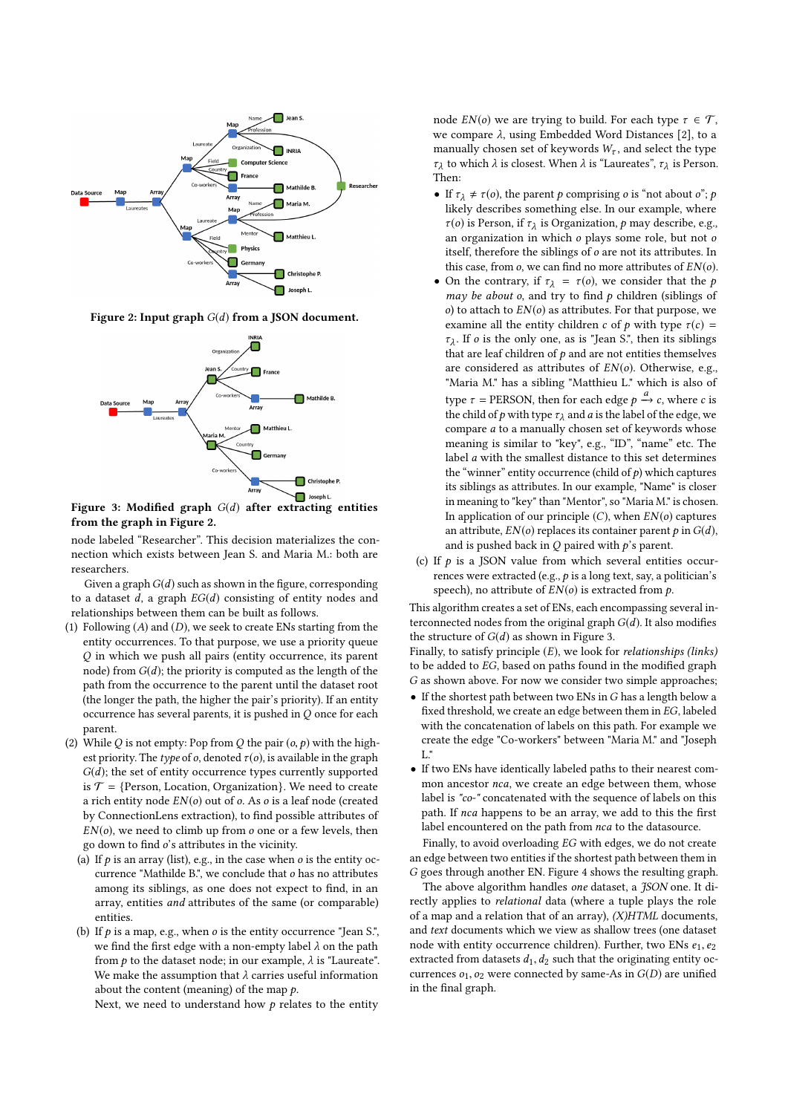<span id="page-2-0"></span>

Figure 2: Input graph  $G(d)$  from a JSON document.

<span id="page-2-1"></span>

Figure 3: Modified graph  $G(d)$  after extracting entities from the graph in Figure [2.](#page-2-0)

node labeled "Researcher". This decision materializes the connection which exists between Jean S. and Maria M.: both are researchers.

Given a graph  $G(d)$  such as shown in the figure, corresponding to a dataset d, a graph  $EG(d)$  consisting of entity nodes and relationships between them can be built as follows.

- (1) Following  $(A)$  and  $(D)$ , we seek to create ENs starting from the entity occurrences. To that purpose, we use a priority queue Q in which we push all pairs (entity occurrence, its parent node) from  $G(d)$ ; the priority is computed as the length of the path from the occurrence to the parent until the dataset root (the longer the path, the higher the pair's priority). If an entity occurrence has several parents, it is pushed in  $Q$  once for each parent.
- (2) While Q is not empty: Pop from Q the pair  $(o, p)$  with the highest priority. The type of o, denoted  $\tau$ (o), is available in the graph  $G(d)$ ; the set of entity occurrence types currently supported is  $\mathcal{T} = \{Person, Location, Organization\}$ . We need to create a rich entity node  $EN(o)$  out of  $o$ . As  $o$  is a leaf node (created by ConnectionLens extraction), to find possible attributes of  $EN(o)$ , we need to climb up from  $o$  one or a few levels, then go down to find o's attributes in the vicinity.
	- (a) If  $p$  is an array (list), e.g., in the case when  $o$  is the entity occurrence "Mathilde B.", we conclude that o has no attributes among its siblings, as one does not expect to find, in an array, entities and attributes of the same (or comparable) entities.
	- (b) If  $p$  is a map, e.g., when  $o$  is the entity occurrence "Jean S.", we find the first edge with a non-empty label  $\lambda$  on the path from  $p$  to the dataset node; in our example,  $\lambda$  is "Laureate". We make the assumption that  $\lambda$  carries useful information about the content (meaning) of the map  $p$ .

Next, we need to understand how  $p$  relates to the entity

node  $EN(o)$  we are trying to build. For each type  $\tau \in \mathcal{T}$ , we compare  $\lambda$ , using Embedded Word Distances [\[2\]](#page-3-6), to a manually chosen set of keywords  $W_{\tau}$ , and select the type  $\tau_{\lambda}$  το<br>Then: to which  $\lambda$  is closest. When  $\lambda$  is "Laureates",  $\tau_{\lambda}$  is Person.

- If  $\tau_{\lambda} \neq \tau(o)$ , the parent p comprising o is "not about o"; p likely describes something else. In our example, where  $\tau$ (o) is Person, if  $\tau_{\lambda}$  is Organization, p may describe, e.g., an organization in which o plays some role, but not o itself, therefore the siblings of o are not its attributes. In this case, from  $o$ , we can find no more attributes of  $EN(o)$ .
- On the contrary, if  $\tau_{\lambda} = \tau(o)$ , we consider that the p may be about  $o$ , and try to find  $p$  children (siblings of  $o$ ) to attach to  $EN(o)$  as attributes. For that purpose, we examine all the entity children c of p with type  $\tau(c)$  =  $\tau_{\lambda}$ . If *o* is the only one, as is Jean S., then its sibilings<br>that are leaf children of *p* and are not entities themselves<br>are considered as attributes of  $FN(o)$ . Otherwise e.g.  $\tau_{\lambda}$ . If *o* is the only one, as is "Jean S.", then its siblings are considered as attributes of  $EN(o)$ . Otherwise, e.g., "Maria M." has a sibling "Matthieu L." which is also of type  $\tau$  = PERSON, then for each edge  $p \xrightarrow{a} c$ , where c is<br>the child of a with type  $\tau_2$  and *a* is the label of the edge, we the child of p with type  $\tau_{\lambda}$  and a is the label of the edge, we compare a to a manually chosen set of keywords whose meaning is similar to "key", e.g., "ID", "name" etc. The label a with the smallest distance to this set determines the "winner" entity occurrence (child of  $p$ ) which captures its siblings as attributes. In our example, "Name" is closer in meaning to "key" than "Mentor", so "Maria M." is chosen. In application of our principle  $(C)$ , when  $EN(o)$  captures an attribute,  $EN(o)$  replaces its container parent p in  $G(d)$ , and is pushed back in  $Q$  paired with  $p$ 's parent.
- (c) If  $p$  is a JSON value from which several entities occurrences were extracted (e.g.,  $p$  is a long text, say, a politician's speech), no attribute of  $EN(o)$  is extracted from  $p$ .

This algorithm creates a set of ENs, each encompassing several interconnected nodes from the original graph  $G(d)$ . It also modifies the structure of  $G(d)$  as shown in Figure [3.](#page-2-1)

Finally, to satisfy principle  $(E)$ , we look for *relationships* (links) to be added to EG, based on paths found in the modified graph G as shown above. For now we consider two simple approaches;

- $\bullet$  If the shortest path between two ENs in G has a length below a fixed threshold, we create an edge between them in EG, labeled with the concatenation of labels on this path. For example we create the edge "Co-workers" between "Maria M." and "Joseph L."
- If two ENs have identically labeled paths to their nearest common ancestor nca, we create an edge between them, whose label is "co-" concatenated with the sequence of labels on this path. If nca happens to be an array, we add to this the first label encountered on the path from nca to the datasource.

Finally, to avoid overloading EG with edges, we do not create an edge between two entities if the shortest path between them in G goes through another EN. Figure [4](#page-3-7) shows the resulting graph.

The above algorithm handles one dataset, a JSON one. It directly applies to relational data (where a tuple plays the role of a map and a relation that of an array),  $(X)HTML$  documents, and text documents which we view as shallow trees (one dataset node with entity occurrence children). Further, two ENs  $e_1, e_2$ extracted from datasets  $d_1, d_2$  such that the originating entity occurrences  $o_1$ ,  $o_2$  were connected by same-As in  $G(D)$  are unified in the final graph.